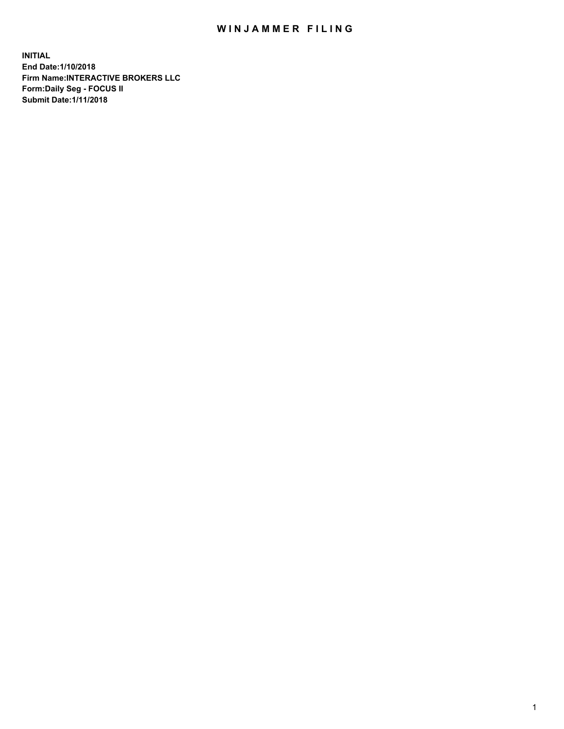## WIN JAMMER FILING

**INITIAL End Date:1/10/2018 Firm Name:INTERACTIVE BROKERS LLC Form:Daily Seg - FOCUS II Submit Date:1/11/2018**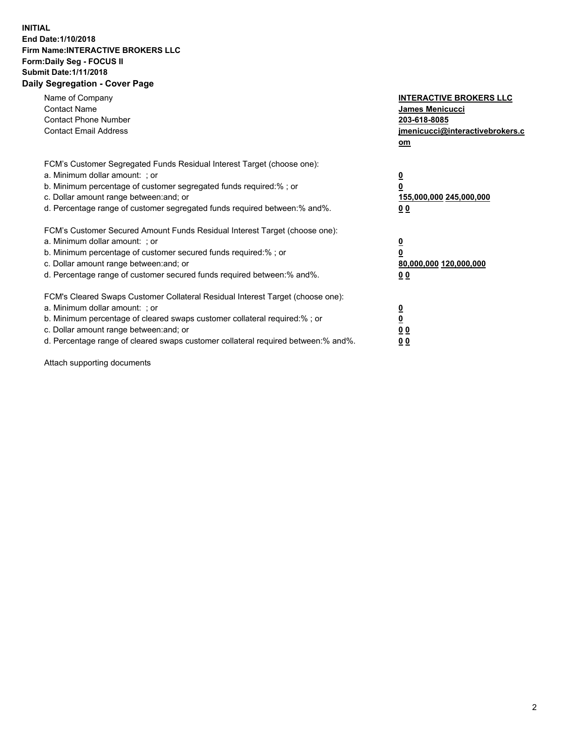## **INITIAL End Date:1/10/2018 Firm Name:INTERACTIVE BROKERS LLC Form:Daily Seg - FOCUS II Submit Date:1/11/2018 Daily Segregation - Cover Page**

| Name of Company<br><b>Contact Name</b><br><b>Contact Phone Number</b><br><b>Contact Email Address</b>                                                                                                                                                                                                                          | <b>INTERACTIVE BROKERS LLC</b><br><b>James Menicucci</b><br>203-618-8085<br>jmenicucci@interactivebrokers.c<br>om |
|--------------------------------------------------------------------------------------------------------------------------------------------------------------------------------------------------------------------------------------------------------------------------------------------------------------------------------|-------------------------------------------------------------------------------------------------------------------|
| FCM's Customer Segregated Funds Residual Interest Target (choose one):<br>a. Minimum dollar amount: ; or<br>b. Minimum percentage of customer segregated funds required:% ; or<br>c. Dollar amount range between: and; or<br>d. Percentage range of customer segregated funds required between: % and %.                       | $\overline{\mathbf{0}}$<br>0<br>155,000,000 245,000,000<br>00                                                     |
| FCM's Customer Secured Amount Funds Residual Interest Target (choose one):<br>a. Minimum dollar amount: ; or<br>b. Minimum percentage of customer secured funds required:%; or<br>c. Dollar amount range between: and; or<br>d. Percentage range of customer secured funds required between: % and %.                          | $\overline{\mathbf{0}}$<br>0<br>80,000,000 120,000,000<br>00                                                      |
| FCM's Cleared Swaps Customer Collateral Residual Interest Target (choose one):<br>a. Minimum dollar amount: ; or<br>b. Minimum percentage of cleared swaps customer collateral required:% ; or<br>c. Dollar amount range between: and; or<br>d. Percentage range of cleared swaps customer collateral required between:% and%. | $\overline{\mathbf{0}}$<br>$\overline{\mathbf{0}}$<br>00<br>0 <sub>0</sub>                                        |

Attach supporting documents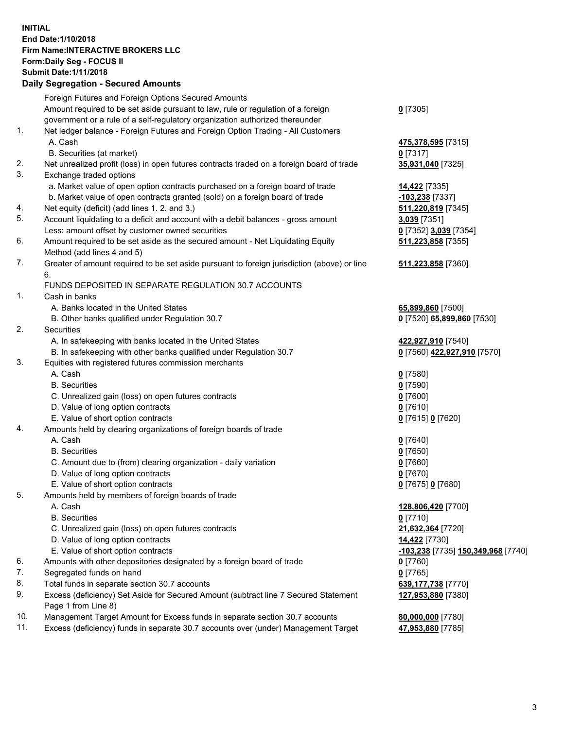## **INITIAL End Date:1/10/2018 Firm Name:INTERACTIVE BROKERS LLC Form:Daily Seg - FOCUS II Submit Date:1/11/2018 Daily Segregation - Secured Amounts**

|                | Daily Jegregation - Jeculed Aniounts                                                                       |                                    |
|----------------|------------------------------------------------------------------------------------------------------------|------------------------------------|
|                | Foreign Futures and Foreign Options Secured Amounts                                                        |                                    |
|                | Amount required to be set aside pursuant to law, rule or regulation of a foreign                           | $0$ [7305]                         |
|                | government or a rule of a self-regulatory organization authorized thereunder                               |                                    |
| 1.             | Net ledger balance - Foreign Futures and Foreign Option Trading - All Customers                            |                                    |
|                | A. Cash                                                                                                    | 475,378,595 [7315]                 |
|                | B. Securities (at market)                                                                                  | $0$ [7317]                         |
| 2.             | Net unrealized profit (loss) in open futures contracts traded on a foreign board of trade                  | 35,931,040 [7325]                  |
| 3.             | Exchange traded options                                                                                    |                                    |
|                | a. Market value of open option contracts purchased on a foreign board of trade                             | 14,422 [7335]                      |
|                | b. Market value of open contracts granted (sold) on a foreign board of trade                               | -103,238 [7337]                    |
| 4.             | Net equity (deficit) (add lines 1.2. and 3.)                                                               | 511,220,819 [7345]                 |
| 5.             | Account liquidating to a deficit and account with a debit balances - gross amount                          | 3,039 [7351]                       |
|                | Less: amount offset by customer owned securities                                                           | 0 [7352] 3,039 [7354]              |
| 6.             | Amount required to be set aside as the secured amount - Net Liquidating Equity                             | 511,223,858 [7355]                 |
|                | Method (add lines 4 and 5)                                                                                 |                                    |
| 7.             | Greater of amount required to be set aside pursuant to foreign jurisdiction (above) or line                | 511,223,858 [7360]                 |
|                | 6.                                                                                                         |                                    |
|                | FUNDS DEPOSITED IN SEPARATE REGULATION 30.7 ACCOUNTS                                                       |                                    |
| $\mathbf{1}$ . | Cash in banks                                                                                              |                                    |
|                | A. Banks located in the United States                                                                      | 65,899,860 [7500]                  |
|                | B. Other banks qualified under Regulation 30.7                                                             | 0 [7520] 65,899,860 [7530]         |
| 2.             | Securities                                                                                                 |                                    |
|                | A. In safekeeping with banks located in the United States                                                  | 422,927,910 [7540]                 |
|                | B. In safekeeping with other banks qualified under Regulation 30.7                                         | 0 [7560] 422,927,910 [7570]        |
| 3.             | Equities with registered futures commission merchants                                                      |                                    |
|                | A. Cash                                                                                                    | $0$ [7580]                         |
|                | <b>B.</b> Securities                                                                                       | $0$ [7590]                         |
|                | C. Unrealized gain (loss) on open futures contracts                                                        | $0$ [7600]                         |
|                | D. Value of long option contracts                                                                          | $0$ [7610]                         |
|                | E. Value of short option contracts                                                                         | 0 [7615] 0 [7620]                  |
| 4.             | Amounts held by clearing organizations of foreign boards of trade                                          |                                    |
|                | A. Cash                                                                                                    | $0$ [7640]                         |
|                | <b>B.</b> Securities                                                                                       | $0$ [7650]                         |
|                | C. Amount due to (from) clearing organization - daily variation                                            | $0$ [7660]                         |
|                | D. Value of long option contracts                                                                          | $0$ [7670]                         |
|                | E. Value of short option contracts                                                                         | 0 [7675] 0 [7680]                  |
| 5.             | Amounts held by members of foreign boards of trade                                                         |                                    |
|                | A. Cash                                                                                                    | 128,806,420 [7700]                 |
|                | <b>B.</b> Securities                                                                                       | $0$ [7710]                         |
|                | C. Unrealized gain (loss) on open futures contracts                                                        | 21,632,364 [7720]                  |
|                | D. Value of long option contracts                                                                          | 14,422 [7730]                      |
|                | E. Value of short option contracts                                                                         | -103,238 [7735] 150,349,968 [7740] |
| 6.             | Amounts with other depositories designated by a foreign board of trade                                     | 0 [7760]                           |
| 7.             | Segregated funds on hand                                                                                   | $0$ [7765]                         |
| 8.             | Total funds in separate section 30.7 accounts                                                              | 639, 177, 738 [7770]               |
| 9.             | Excess (deficiency) Set Aside for Secured Amount (subtract line 7 Secured Statement<br>Page 1 from Line 8) | 127,953,880 [7380]                 |
| 10.            | Management Target Amount for Excess funds in separate section 30.7 accounts                                | 80,000,000 [7780]                  |
| 11.            | Excess (deficiency) funds in separate 30.7 accounts over (under) Management Target                         | 47,953,880 [7785]                  |
|                |                                                                                                            |                                    |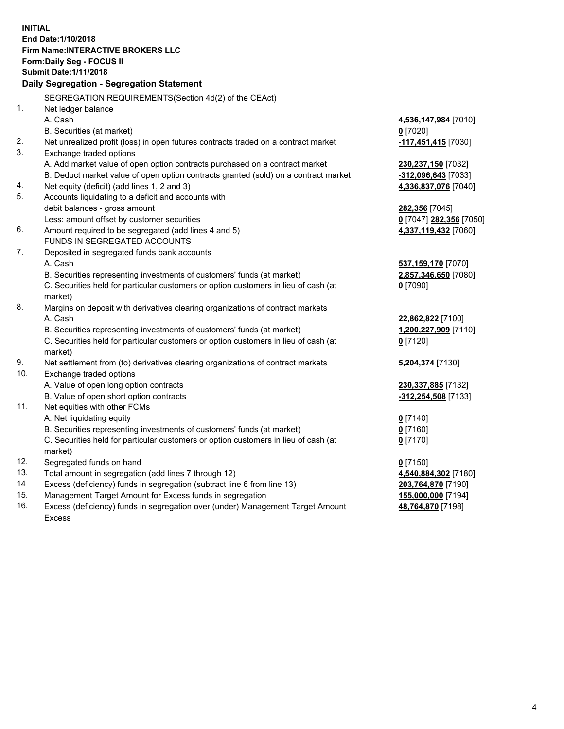**INITIAL End Date:1/10/2018 Firm Name:INTERACTIVE BROKERS LLC Form:Daily Seg - FOCUS II Submit Date:1/11/2018 Daily Segregation - Segregation Statement** SEGREGATION REQUIREMENTS(Section 4d(2) of the CEAct) 1. Net ledger balance A. Cash **4,536,147,984** [7010] B. Securities (at market) **0** [7020] 2. Net unrealized profit (loss) in open futures contracts traded on a contract market **-117,451,415** [7030] 3. Exchange traded options A. Add market value of open option contracts purchased on a contract market **230,237,150** [7032] B. Deduct market value of open option contracts granted (sold) on a contract market **-312,096,643** [7033] 4. Net equity (deficit) (add lines 1, 2 and 3) **4,336,837,076** [7040] 5. Accounts liquidating to a deficit and accounts with debit balances - gross amount **282,356** [7045] Less: amount offset by customer securities **0** [7047] **282,356** [7050] 6. Amount required to be segregated (add lines 4 and 5) **4,337,119,432** [7060] FUNDS IN SEGREGATED ACCOUNTS 7. Deposited in segregated funds bank accounts A. Cash **537,159,170** [7070] B. Securities representing investments of customers' funds (at market) **2,857,346,650** [7080] C. Securities held for particular customers or option customers in lieu of cash (at market) **0** [7090] 8. Margins on deposit with derivatives clearing organizations of contract markets A. Cash **22,862,822** [7100] B. Securities representing investments of customers' funds (at market) **1,200,227,909** [7110] C. Securities held for particular customers or option customers in lieu of cash (at market) **0** [7120] 9. Net settlement from (to) derivatives clearing organizations of contract markets **5,204,374** [7130] 10. Exchange traded options A. Value of open long option contracts **230,337,885** [7132] B. Value of open short option contracts **-312,254,508** [7133] 11. Net equities with other FCMs A. Net liquidating equity **0** [7140] B. Securities representing investments of customers' funds (at market) **0** [7160] C. Securities held for particular customers or option customers in lieu of cash (at market) **0** [7170] 12. Segregated funds on hand **0** [7150] 13. Total amount in segregation (add lines 7 through 12) **4,540,884,302** [7180] 14. Excess (deficiency) funds in segregation (subtract line 6 from line 13) **203,764,870** [7190] 15. Management Target Amount for Excess funds in segregation **155,000,000** [7194] **48,764,870** [7198]

16. Excess (deficiency) funds in segregation over (under) Management Target Amount Excess